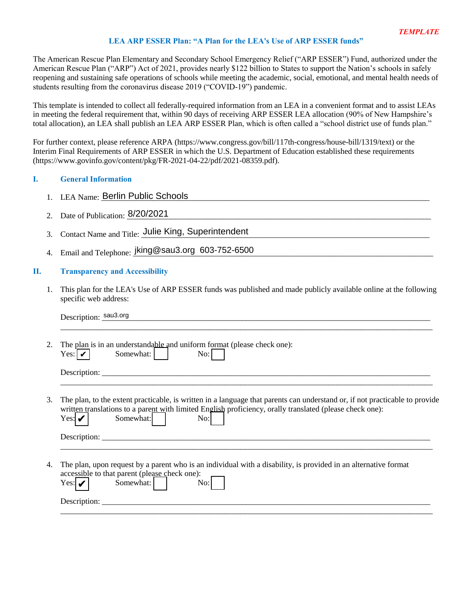# **LEA ARP ESSER Plan: "A Plan for the LEA's Use of ARP ESSER funds"**

The American Rescue Plan Elementary and Secondary School Emergency Relief ("ARP ESSER") Fund, authorized under the American Rescue Plan ("ARP") Act of 2021, provides nearly \$122 billion to States to support the Nation's schools in safely reopening and sustaining safe operations of schools while meeting the academic, social, emotional, and mental health needs of students resulting from the coronavirus disease 2019 ("COVID-19") pandemic.

This template is intended to collect all federally-required information from an LEA in a convenient format and to assist LEAs in meeting the federal requirement that, within 90 days of receiving ARP ESSER LEA allocation (90% of New Hampshire's total allocation), an LEA shall publish an LEA ARP ESSER Plan, which is often called a "school district use of funds plan."

For further context, please reference ARPA [\(https://www.congress.gov/bill/117th-congress/house-bill/1319/text\)](https://www.congress.gov/bill/117th-congress/house-bill/1319/text) or the Interim Final Requirements of ARP ESSER in which the U.S. Department of Education established these requirements [\(https://www.govinfo.gov/content/pkg/FR-2021-04-22/pdf/2021-08359.pdf\)](https://www.govinfo.gov/content/pkg/FR-2021-04-22/pdf/2021-08359.pdf).

# **I. General Information**

- 1. LEA Name: Berlin Public Schools
- 2. Date of Publication:  $8/20/2021$
- 3. Contact Name and Title: Julie King, Superintendent
- 3. Contact Name and Title: Julie King, Superintendent<br>4. Email and Telephone: jking@sau3.org 603-752-6500

# **II. Transparency and Accessibility**

1. This plan for the LEA's Use of ARP ESSER funds was published and made publicly available online at the following specific web address: Berlin Public Schools<br>ication: <u>8/20/2021</u><br>e and Title: Julie King, 3<br>elephone: jking@sau3.org<br>ey and Accessibility<br>the LEA's Use of ARP ES.<br>address:<br>sau3.org

|    | Description: sau3.org                                                                                                                                                                                                                                                                        |
|----|----------------------------------------------------------------------------------------------------------------------------------------------------------------------------------------------------------------------------------------------------------------------------------------------|
| 2. | The plan is in an understandable and uniform format (please check one):<br>Somewhat:<br>No:<br>Yes: $ V $                                                                                                                                                                                    |
|    | Description: $\sqrt{\frac{1}{2} \sum_{i=1}^{n} (x_i - x_i)^2}$                                                                                                                                                                                                                               |
| 3. | The plan, to the extent practicable, is written in a language that parents can understand or, if not practicable to provide<br>written translations to a parent with limited English proficiency, orally translated (please check one):<br>Somewhat:  <br>Yes: $\mathbf{\mathcal{V}}$<br>No: |
|    | Description: <u>the contract of the contract of the contract of the contract of the contract of the contract of the contract of the contract of the contract of the contract of the contract of the contract of the contract of </u>                                                         |
|    | The plan, upon request by a parent who is an individual with a disability, is provided in an alternative format<br>accessible to that parent (please check one):<br>Somewhat:  <br>Yes: $ V $<br>No:1                                                                                        |
|    | Description: $\sqrt{\frac{1}{2} \sum_{i=1}^{n} (x_i - x_i)^2}$                                                                                                                                                                                                                               |
|    |                                                                                                                                                                                                                                                                                              |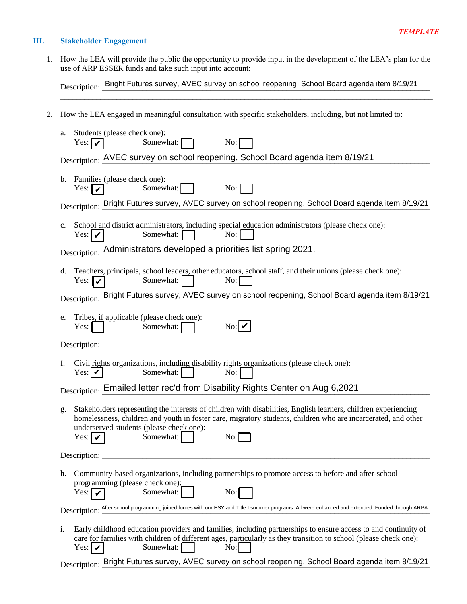# **III. Stakeholder Engagement**

1. How the LEA will provide the public the opportunity to provide input in the development of the LEA's plan for the use of ARP ESSER funds and take such input into account:

Description: Bright Futures survey, AVEC survey on school reopening, School Board agenda item 8/19/21

 $\mathcal{L}_\mathcal{L} = \{ \mathcal{L}_\mathcal{L} = \{ \mathcal{L}_\mathcal{L} = \{ \mathcal{L}_\mathcal{L} = \{ \mathcal{L}_\mathcal{L} = \{ \mathcal{L}_\mathcal{L} = \{ \mathcal{L}_\mathcal{L} = \{ \mathcal{L}_\mathcal{L} = \{ \mathcal{L}_\mathcal{L} = \{ \mathcal{L}_\mathcal{L} = \{ \mathcal{L}_\mathcal{L} = \{ \mathcal{L}_\mathcal{L} = \{ \mathcal{L}_\mathcal{L} = \{ \mathcal{L}_\mathcal{L} = \{ \mathcal{L}_\mathcal{$ 

2. How the LEA engaged in meaningful consultation with specific stakeholders, including, but not limited to:

| a.                                                                                                                                                 | Students (please check one):<br>Somewhat:<br>Yes: $ v $<br>$\rm No:$                                                                                                                                                                                                                                          |  |
|----------------------------------------------------------------------------------------------------------------------------------------------------|---------------------------------------------------------------------------------------------------------------------------------------------------------------------------------------------------------------------------------------------------------------------------------------------------------------|--|
|                                                                                                                                                    | Description: AVEC survey on school reopening, School Board agenda item 8/19/21                                                                                                                                                                                                                                |  |
| b.                                                                                                                                                 | Families (please check one):<br>Somewhat:<br>No:<br>Yes: $\boxed{\mathbf{v}}$                                                                                                                                                                                                                                 |  |
|                                                                                                                                                    | Description: Bright Futures survey, AVEC survey on school reopening, School Board agenda item 8/19/21                                                                                                                                                                                                         |  |
| $c_{\cdot}$                                                                                                                                        | School and district administrators, including special education administrators (please check one):<br>Somewhat: $\Box$<br>No:<br>Yes: $ V $                                                                                                                                                                   |  |
|                                                                                                                                                    | Description: Administrators developed a priorities list spring 2021.                                                                                                                                                                                                                                          |  |
| d.                                                                                                                                                 | Teachers, principals, school leaders, other educators, school staff, and their unions (please check one):<br>Somewhat:<br>No:<br>Yes: $  \mathbf{v}  $                                                                                                                                                        |  |
|                                                                                                                                                    | Description: Bright Futures survey, AVEC survey on school reopening, School Board agenda item 8/19/21                                                                                                                                                                                                         |  |
| e.                                                                                                                                                 | Tribes, if applicable (please check one):<br>No:<br>Somewhat:<br>Yes:                                                                                                                                                                                                                                         |  |
|                                                                                                                                                    |                                                                                                                                                                                                                                                                                                               |  |
| f.                                                                                                                                                 | Civil rights organizations, including disability rights organizations (please check one):<br>Yes: $ V $<br>Somewhat:<br>No:                                                                                                                                                                                   |  |
|                                                                                                                                                    | Description: Emailed letter rec'd from Disability Rights Center on Aug 6,2021                                                                                                                                                                                                                                 |  |
| g.                                                                                                                                                 | Stakeholders representing the interests of children with disabilities, English learners, children experiencing<br>homelessness, children and youth in foster care, migratory students, children who are incarcerated, and other<br>underserved students (please check one):<br>Somewhat:<br>No:<br>Yes: $ V $ |  |
|                                                                                                                                                    | Description:                                                                                                                                                                                                                                                                                                  |  |
| h.                                                                                                                                                 | Community-based organizations, including partnerships to promote access to before and after-school<br>programming (please check one):<br>Somewhat:<br>No:<br>Yes: $\mathbf{v}$                                                                                                                                |  |
| Description: After school programming joined forces with our ESY and Title I summer programs. All were enhanced and extended. Funded through ARPA. |                                                                                                                                                                                                                                                                                                               |  |
| i.                                                                                                                                                 | Early childhood education providers and families, including partnerships to ensure access to and continuity of<br>care for families with children of different ages, particularly as they transition to school (please check one):<br>Somewhat:<br>No:<br>Yes: $ V $                                          |  |
|                                                                                                                                                    | Description: Bright Futures survey, AVEC survey on school reopening, School Board agenda item 8/19/21                                                                                                                                                                                                         |  |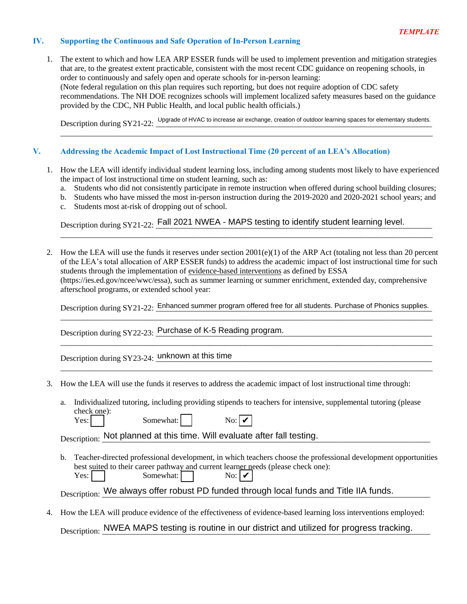# **IV. Supporting the Continuous and Safe Operation of In-Person Learning**

1. The extent to which and how LEA ARP ESSER funds will be used to implement prevention and mitigation strategies that are, to the greatest extent practicable, consistent with the most recent CDC guidance on reopening schools, in order to continuously and safely open and operate schools for in-person learning: (Note federal regulation on this plan requires such reporting, but does not require adoption of CDC safety recommendations. The NH DOE recognizes schools will implement localized safety measures based on the guidance provided by the CDC, NH Public Health, and local public health officials.)

Description during SY21-22: Upgrade of HVAC to increase air exchange, creation of outdoor learning spaces for elementary students.  $\mathcal{L}_\mathcal{L} = \{ \mathcal{L}_\mathcal{L} = \{ \mathcal{L}_\mathcal{L} = \{ \mathcal{L}_\mathcal{L} = \{ \mathcal{L}_\mathcal{L} = \{ \mathcal{L}_\mathcal{L} = \{ \mathcal{L}_\mathcal{L} = \{ \mathcal{L}_\mathcal{L} = \{ \mathcal{L}_\mathcal{L} = \{ \mathcal{L}_\mathcal{L} = \{ \mathcal{L}_\mathcal{L} = \{ \mathcal{L}_\mathcal{L} = \{ \mathcal{L}_\mathcal{L} = \{ \mathcal{L}_\mathcal{L} = \{ \mathcal{L}_\mathcal{$ 

#### **V. Addressing the Academic Impact of Lost Instructional Time (20 percent of an LEA's Allocation)**

- 1. How the LEA will identify individual student learning loss, including among students most likely to have experienced the impact of lost instructional time on student learning, such as:
	- a. Students who did not consistently participate in remote instruction when offered during school building closures;
	- b. Students who have missed the most in-person instruction during the 2019-2020 and 2020-2021 school years; and

 $\mathcal{L}_\mathcal{L} = \{ \mathcal{L}_\mathcal{L} = \{ \mathcal{L}_\mathcal{L} = \{ \mathcal{L}_\mathcal{L} = \{ \mathcal{L}_\mathcal{L} = \{ \mathcal{L}_\mathcal{L} = \{ \mathcal{L}_\mathcal{L} = \{ \mathcal{L}_\mathcal{L} = \{ \mathcal{L}_\mathcal{L} = \{ \mathcal{L}_\mathcal{L} = \{ \mathcal{L}_\mathcal{L} = \{ \mathcal{L}_\mathcal{L} = \{ \mathcal{L}_\mathcal{L} = \{ \mathcal{L}_\mathcal{L} = \{ \mathcal{L}_\mathcal{$ 

c. Students most at-risk of dropping out of school.

Description during SY21-22: Fall 2021 NWEA - MAPS testing to identify student learning level.

2. How the LEA will use the funds it reserves under section  $2001(e)(1)$  of the ARP Act (totaling not less than 20 percent of the LEA's total allocation of ARP ESSER funds) to address the academic impact of lost instructional time for such students through the implementation of evidence-based interventions as defined by ESSA (https://ies.ed.gov/ncee/wwc/essa), such as summer learning or summer enrichment, extended day, comprehensive afterschool programs, or extended school year:

Description during SY21-22: Enhanced summer program offered free for all students. Purchase of Phonics supplies. \_\_\_\_\_\_\_\_\_\_\_\_\_\_\_\_\_\_\_\_\_\_\_\_\_\_\_\_\_\_\_\_\_\_\_\_\_\_\_\_\_\_\_\_\_\_\_\_\_\_\_\_\_\_\_\_\_\_\_\_\_\_\_\_\_\_\_\_\_\_\_\_\_\_\_\_\_\_\_\_\_\_\_\_\_\_\_\_\_\_\_\_\_

\_\_\_\_\_\_\_\_\_\_\_\_\_\_\_\_\_\_\_\_\_\_\_\_\_\_\_\_\_\_\_\_\_\_\_\_\_\_\_\_\_\_\_\_\_\_\_\_\_\_\_\_\_\_\_\_\_\_\_\_\_\_\_\_\_\_\_\_\_\_\_\_\_\_\_\_\_\_\_\_\_\_\_\_\_\_\_\_\_\_\_\_\_

 $\_$  ,  $\_$  ,  $\_$  ,  $\_$  ,  $\_$  ,  $\_$  ,  $\_$  ,  $\_$  ,  $\_$  ,  $\_$  ,  $\_$  ,  $\_$  ,  $\_$  ,  $\_$  ,  $\_$  ,  $\_$  ,  $\_$  ,  $\_$  ,  $\_$  ,  $\_$  ,  $\_$  ,  $\_$  ,  $\_$  ,  $\_$  ,  $\_$  ,  $\_$  ,  $\_$  ,  $\_$  ,  $\_$  ,  $\_$  ,  $\_$  ,  $\_$  ,  $\_$  ,  $\_$  ,  $\_$  ,  $\_$  ,  $\_$  ,

Description during SY22-23: Purchase of K-5 Reading program.

Description during SY23-24: <u>unknown at this time</u>

- 3. How the LEA will use the funds it reserves to address the academic impact of lost instructional time through:
	- a. Individualized tutoring, including providing stipends to teachers for intensive, supplemental tutoring (please check one):

| Yes: | Somewhat: I |  |
|------|-------------|--|
|------|-------------|--|

Description: Not planned at this time. Will evaluate after fall testing.

b. Teacher-directed professional development, in which teachers choose the professional development opportunities best suited to their career pathway and current learner needs (please check one): Yes: Somewhat: Somewhat: No: V<br>
Not planned at this time. Will evaluate after fall testing.<br>
directed professional development, in which teachers choose the professional development oppore<br>
d to their career pathway and current learner n  $\mathrm{No:}|\boldsymbol{\nu}|$ 

Description: We always offer robust PD funded through local funds and Title IIA funds.

4. How the LEA will produce evidence of the effectiveness of evidence-based learning loss interventions employed:

Description: NWEA MAPS testing is routine in our district and utilized for progress tracking.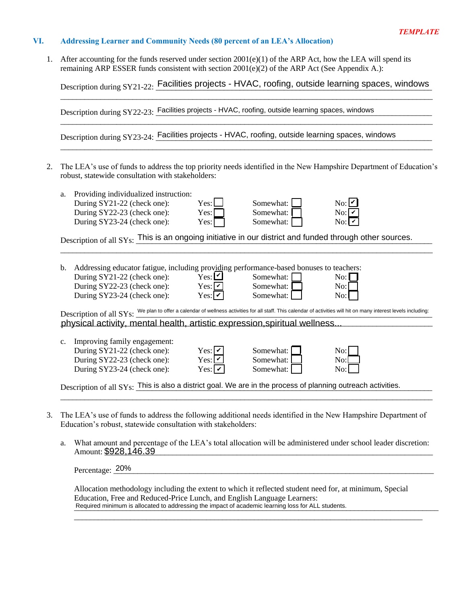### **VI. Addressing Learner and Community Needs (80 percent of an LEA's Allocation)**

1. After accounting for the funds reserved under section 2001(e)(1) of the ARP Act, how the LEA will spend its remaining ARP ESSER funds consistent with section  $2001(e)(2)$  of the ARP Act (See Appendix A.):

Description during SY21-22: Facilities projects - HVAC, roofing, outside learning spaces, windows  $\mathcal{L}_\mathcal{L} = \{ \mathcal{L}_\mathcal{L} = \{ \mathcal{L}_\mathcal{L} = \{ \mathcal{L}_\mathcal{L} = \{ \mathcal{L}_\mathcal{L} = \{ \mathcal{L}_\mathcal{L} = \{ \mathcal{L}_\mathcal{L} = \{ \mathcal{L}_\mathcal{L} = \{ \mathcal{L}_\mathcal{L} = \{ \mathcal{L}_\mathcal{L} = \{ \mathcal{L}_\mathcal{L} = \{ \mathcal{L}_\mathcal{L} = \{ \mathcal{L}_\mathcal{L} = \{ \mathcal{L}_\mathcal{L} = \{ \mathcal{L}_\mathcal{$ 

 $\mathcal{L}_\mathcal{L} = \{ \mathcal{L}_\mathcal{L} = \{ \mathcal{L}_\mathcal{L} = \{ \mathcal{L}_\mathcal{L} = \{ \mathcal{L}_\mathcal{L} = \{ \mathcal{L}_\mathcal{L} = \{ \mathcal{L}_\mathcal{L} = \{ \mathcal{L}_\mathcal{L} = \{ \mathcal{L}_\mathcal{L} = \{ \mathcal{L}_\mathcal{L} = \{ \mathcal{L}_\mathcal{L} = \{ \mathcal{L}_\mathcal{L} = \{ \mathcal{L}_\mathcal{L} = \{ \mathcal{L}_\mathcal{L} = \{ \mathcal{L}_\mathcal{$ 

\_\_\_\_\_\_\_\_\_\_\_\_\_\_\_\_\_\_\_\_\_\_\_\_\_\_\_\_\_\_\_\_\_\_\_\_\_\_\_\_\_\_\_\_\_\_\_\_\_\_\_\_\_\_\_\_\_\_\_\_\_\_\_\_\_\_\_\_\_\_\_\_\_\_\_\_\_\_\_\_\_\_\_\_\_\_\_\_\_\_\_\_\_

Description during SY22-23: Facilities projects - HVAC, roofing, outside learning spaces, windows

Description during SY23-24: Facilities projects - HVAC, roofing, outside learning spaces, windows

2. The LEA's use of funds to address the top priority needs identified in the New Hampshire Department of Education's robust, statewide consultation with stakeholders:

| a. | Providing individualized instruction:<br>During SY21-22 (check one):<br>During SY22-23 (check one):<br>During SY23-24 (check one):                                                                                                                                                       | Yes:L<br>Yes:<br>Yes:                                                              | Somewhat:<br>Somewhat:<br>Somewhat: | $\mathrm{No:}$ $\mathcal V$<br>No:<br>$\mathrm{No:}$ $\mathcal V$ |
|----|------------------------------------------------------------------------------------------------------------------------------------------------------------------------------------------------------------------------------------------------------------------------------------------|------------------------------------------------------------------------------------|-------------------------------------|-------------------------------------------------------------------|
|    | Description of all SYs: This is an ongoing initiative in our district and funded through other sources.                                                                                                                                                                                  |                                                                                    |                                     |                                                                   |
|    |                                                                                                                                                                                                                                                                                          |                                                                                    |                                     |                                                                   |
| b. | Addressing educator fatigue, including providing performance-based bonuses to teachers:                                                                                                                                                                                                  |                                                                                    |                                     |                                                                   |
|    | During SY21-22 (check one):                                                                                                                                                                                                                                                              | $Y$ es: $\Box$                                                                     | Somewhat:                           | $No: \Box$                                                        |
|    | During SY22-23 (check one):                                                                                                                                                                                                                                                              | $Yes: \boxed{\mathcal{V}}$                                                         | Somewhat:                           | No:                                                               |
|    | During SY23-24 (check one):                                                                                                                                                                                                                                                              | Yes: $ v $                                                                         | Somewhat:                           | No:                                                               |
|    | Description of all SYs: We plan to offer a calendar of wellness activities for all staff. This calendar of activities will hit on many interest levels including:                                                                                                                        |                                                                                    |                                     |                                                                   |
|    | physical activity, mental health, artistic expression, spiritual wellness                                                                                                                                                                                                                |                                                                                    |                                     |                                                                   |
|    |                                                                                                                                                                                                                                                                                          |                                                                                    |                                     |                                                                   |
| c. | Improving family engagement:                                                                                                                                                                                                                                                             |                                                                                    |                                     |                                                                   |
|    | During SY21-22 (check one):                                                                                                                                                                                                                                                              | Yes: $ v $                                                                         | Somewhat:                           | No:                                                               |
|    | During SY22-23 (check one):                                                                                                                                                                                                                                                              | $Yes: \boxed{\textcolor{red}{\check{}}\textcolor{red}{\check{}}\textcolor{red}{}}$ | Somewhat:                           | No:                                                               |
|    | During SY23-24 (check one):                                                                                                                                                                                                                                                              | $Yes:  \nabla$                                                                     | Somewhat:                           | No:                                                               |
|    | Description of all SYs: This is also a district goal. We are in the process of planning outreach activities.                                                                                                                                                                             |                                                                                    |                                     |                                                                   |
|    |                                                                                                                                                                                                                                                                                          |                                                                                    |                                     |                                                                   |
|    | The LEA's use of funds to address the following additional needs identified in the New Hampshire Department of<br>Education's robust, statewide consultation with stakeholders:                                                                                                          |                                                                                    |                                     |                                                                   |
| a. | What amount and percentage of the LEA's total allocation will be administered under school leader discretion:<br>Amount: \$928,146.39                                                                                                                                                    |                                                                                    |                                     |                                                                   |
|    | Percentage: 20%                                                                                                                                                                                                                                                                          |                                                                                    |                                     |                                                                   |
|    | Allocation methodology including the extent to which it reflected student need for, at minimum, Special<br>Education, Free and Reduced-Price Lunch, and English Language Learners:<br>Required minimum is allocated to addressing the impact of academic learning loss for ALL students. |                                                                                    |                                     |                                                                   |

- 3. The LEA's use of funds to address the following additional needs identified in the New Hampshire Department of Education's robust, statewide consultation with stakeholders:
	- a. What amount and percentage of the LEA's total allocation will be administered under school leader discretion: Amount:  $$928,146.39$

| D<br>$P_{\rm PT}$<br>- 1112101<br>. | $\sim$<br>$\overline{\phantom{a}}$ |
|-------------------------------------|------------------------------------|
|                                     |                                    |

Allocation methodology including the extent to which it reflected student need for, at minimum, Special Education, Free and Reduced-Price Lunch, and English Language Learners: Required minimum is allocated to addressing the impact of academic learning loss for ALL students.

 $\mathcal{L}_\mathcal{L} = \{ \mathcal{L}_\mathcal{L} = \{ \mathcal{L}_\mathcal{L} = \{ \mathcal{L}_\mathcal{L} = \{ \mathcal{L}_\mathcal{L} = \{ \mathcal{L}_\mathcal{L} = \{ \mathcal{L}_\mathcal{L} = \{ \mathcal{L}_\mathcal{L} = \{ \mathcal{L}_\mathcal{L} = \{ \mathcal{L}_\mathcal{L} = \{ \mathcal{L}_\mathcal{L} = \{ \mathcal{L}_\mathcal{L} = \{ \mathcal{L}_\mathcal{L} = \{ \mathcal{L}_\mathcal{L} = \{ \mathcal{L}_\mathcal{$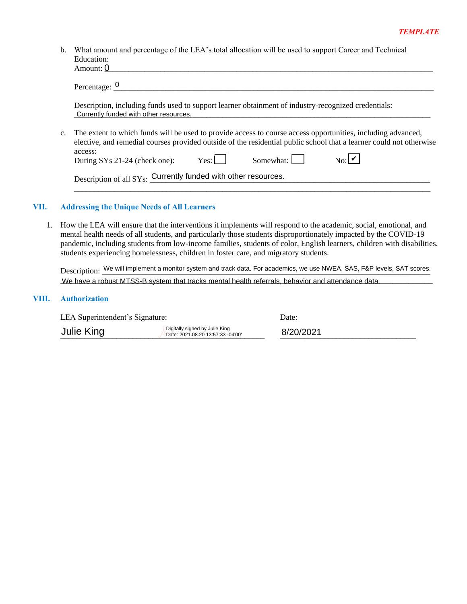b. What amount and percentage of the LEA's total allocation will be used to support Career and Technical Education:<br>A mount: 0

|                | Amount: 0                                              |                                                                                                                                                                                                                                     |                  |                                                                                                                                                                                                                                                                                                                                                                  |
|----------------|--------------------------------------------------------|-------------------------------------------------------------------------------------------------------------------------------------------------------------------------------------------------------------------------------------|------------------|------------------------------------------------------------------------------------------------------------------------------------------------------------------------------------------------------------------------------------------------------------------------------------------------------------------------------------------------------------------|
|                | Percentage: $\frac{0}{2}$                              |                                                                                                                                                                                                                                     |                  |                                                                                                                                                                                                                                                                                                                                                                  |
|                | Currently funded with other resources.                 | Description, including funds used to support learner obtainment of industry-recognized credentials:                                                                                                                                 |                  |                                                                                                                                                                                                                                                                                                                                                                  |
| $\mathbf{c}$ . |                                                        | The extent to which funds will be used to provide access to course access opportunities, including advanced,<br>elective, and remedial courses provided outside of the residential public school that a learner could not otherwise |                  |                                                                                                                                                                                                                                                                                                                                                                  |
|                | access:<br>During SYs 21-24 (check one): $\text{Yes:}$ |                                                                                                                                                                                                                                     | Somewhat: $\Box$ | No:                                                                                                                                                                                                                                                                                                                                                              |
|                |                                                        | Description of all SYs: Currently funded with other resources.                                                                                                                                                                      |                  |                                                                                                                                                                                                                                                                                                                                                                  |
|                | <b>Addressing the Unique Needs of All Learners</b>     |                                                                                                                                                                                                                                     |                  |                                                                                                                                                                                                                                                                                                                                                                  |
|                |                                                        | students experiencing homelessness, children in foster care, and migratory students.                                                                                                                                                |                  | How the LEA will ensure that the interventions it implements will respond to the academic, social, emotional, and<br>mental health needs of all students, and particularly those students disproportionately impacted by the COVID-19<br>pandemic, including students from low-income families, students of color, English learners, children with disabilities, |
|                |                                                        |                                                                                                                                                                                                                                     |                  | Description: We will implement a monitor system and track data. For academics, we use NWEA, SAS, F&P levels, SAT scores.                                                                                                                                                                                                                                         |
|                |                                                        | We have a robust MTSS-B system that tracks mental health referrals, behavior and attendance data.                                                                                                                                   |                  |                                                                                                                                                                                                                                                                                                                                                                  |
|                | <b>Authorization</b>                                   |                                                                                                                                                                                                                                     |                  |                                                                                                                                                                                                                                                                                                                                                                  |
|                | LEA Superintendent's Signature:                        |                                                                                                                                                                                                                                     | Date:            |                                                                                                                                                                                                                                                                                                                                                                  |
|                | Julie King                                             | Digitally signed by Julie King<br>Date: 2021.08.20 13:57:33 -04'00'                                                                                                                                                                 | 8/20/2021        |                                                                                                                                                                                                                                                                                                                                                                  |

# **VII. Addressing the Unique Needs of All Learners**

### **VIII. Authorization**

| LEA Superintendent's Signature: |                                                                     | Date:     |
|---------------------------------|---------------------------------------------------------------------|-----------|
| Julie King                      | Digitally signed by Julie King<br>Date: 2021.08.20 13:57:33 -04'00' | 8/20/2021 |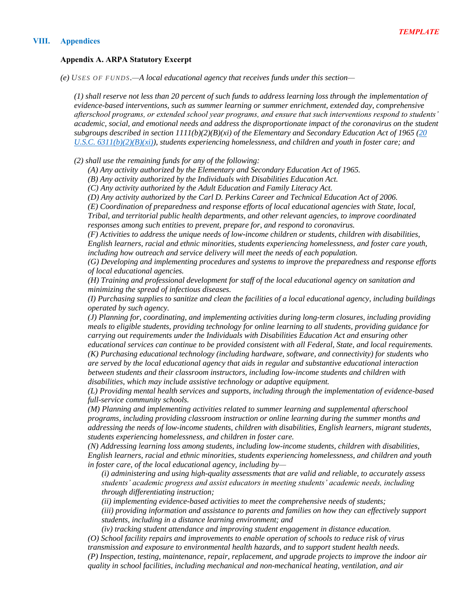### **VIII. Appendices**

# **Appendix A. ARPA Statutory Excerpt**

*(e) USES OF FUNDS .—A local educational agency that receives funds under this section—*

*(1) shall reserve not less than 20 percent of such funds to address learning loss through the implementation of evidence-based interventions, such as summer learning or summer enrichment, extended day, comprehensive afterschool programs, or extended school year programs, and ensure that such interventions respond to students' academic, social, and emotional needs and address the disproportionate impact of the coronavirus on the student subgroups described in section 1111(b)(2)(B)(xi) of the Elementary and Secondary Education Act of 1965 (20 U.S.C. 6311(b)(2)(B)(xi)), students experiencing homelessness, and children and youth in foster care; and*

*(2) shall use the remaining funds for any of the following:*

*(A) Any activity authorized by the Elementary and Secondary Education Act of 1965.*

*(B) Any activity authorized by the Individuals with Disabilities Education Act.*

*(C) Any activity authorized by the Adult Education and Family Literacy Act.*

*(D) Any activity authorized by the Carl D. Perkins Career and Technical Education Act of 2006.*

*(E) Coordination of preparedness and response efforts of local educational agencies with State, local, Tribal, and territorial public health departments, and other relevant agencies, to improve coordinated responses among such entities to prevent, prepare for, and respond to coronavirus.*

*(F) Activities to address the unique needs of low-income children or students, children with disabilities, English learners, racial and ethnic minorities, students experiencing homelessness, and foster care youth, including how outreach and service delivery will meet the needs of each population.*

*(G) Developing and implementing procedures and systems to improve the preparedness and response efforts of local educational agencies.*

*(H) Training and professional development for staff of the local educational agency on sanitation and minimizing the spread of infectious diseases.*

*(I) Purchasing supplies to sanitize and clean the facilities of a local educational agency, including buildings operated by such agency.*

*(J) Planning for, coordinating, and implementing activities during long-term closures, including providing meals to eligible students, providing technology for online learning to all students, providing guidance for carrying out requirements under the Individuals with Disabilities Education Act and ensuring other educational services can continue to be provided consistent with all Federal, State, and local requirements.*

*(K) Purchasing educational technology (including hardware, software, and connectivity) for students who are served by the local educational agency that aids in regular and substantive educational interaction between students and their classroom instructors, including low-income students and children with disabilities, which may include assistive technology or adaptive equipment.*

*(L) Providing mental health services and supports, including through the implementation of evidence-based full-service community schools.*

*(M) Planning and implementing activities related to summer learning and supplemental afterschool programs, including providing classroom instruction or online learning during the summer months and addressing the needs of low-income students, children with disabilities, English learners, migrant students, students experiencing homelessness, and children in foster care.*

*(N) Addressing learning loss among students, including low-income students, children with disabilities, English learners, racial and ethnic minorities, students experiencing homelessness, and children and youth in foster care, of the local educational agency, including by—*

*(i) administering and using high-quality assessments that are valid and reliable, to accurately assess students' academic progress and assist educators in meeting students' academic needs, including through differentiating instruction;*

*(ii) implementing evidence-based activities to meet the comprehensive needs of students;*

*(iii) providing information and assistance to parents and families on how they can effectively support students, including in a distance learning environment; and*

*(iv) tracking student attendance and improving student engagement in distance education. (O) School facility repairs and improvements to enable operation of schools to reduce risk of virus transmission and exposure to environmental health hazards, and to support student health needs. (P) Inspection, testing, maintenance, repair, replacement, and upgrade projects to improve the indoor air quality in school facilities, including mechanical and non-mechanical heating, ventilation, and air*